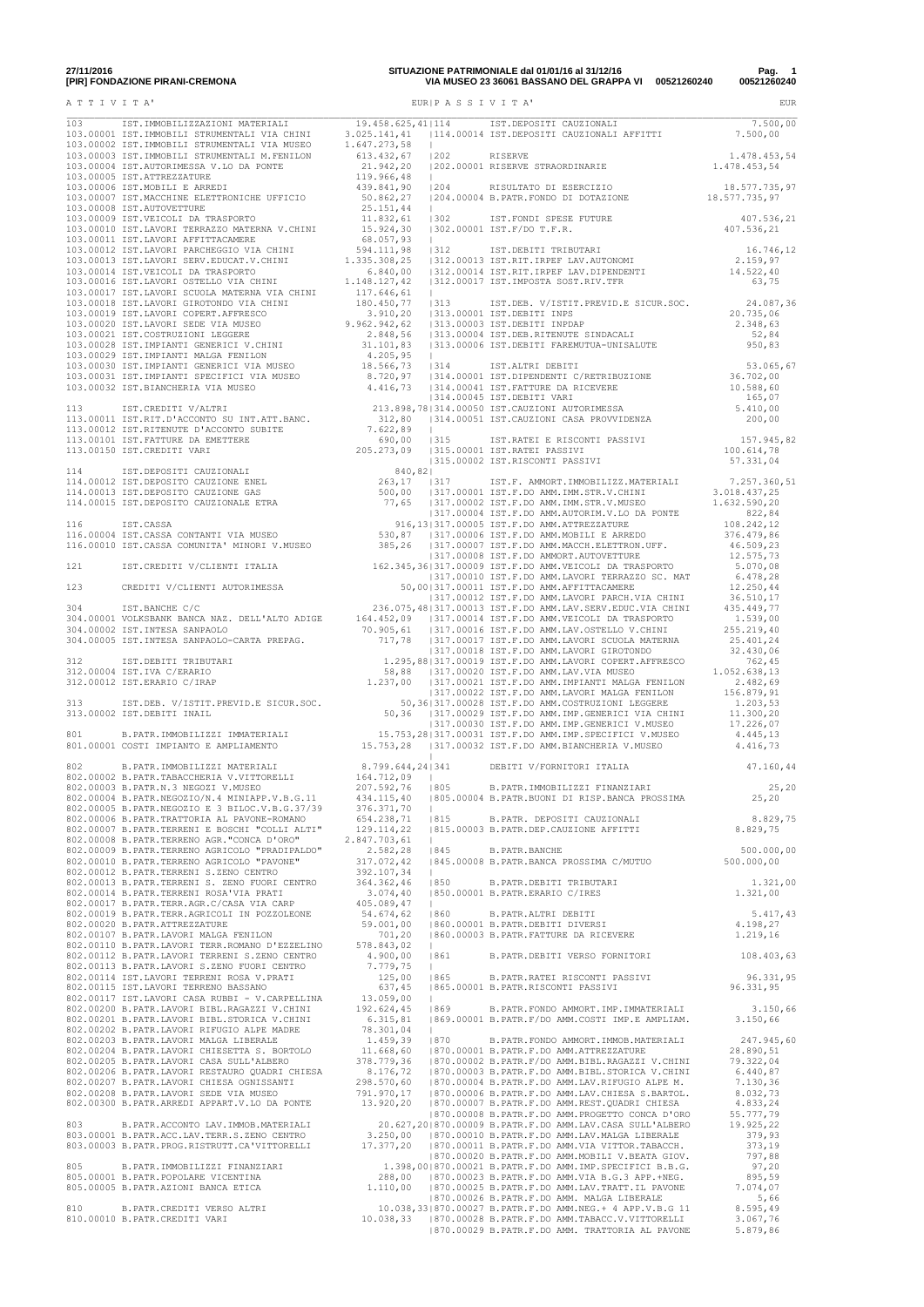|  |  | 18.577.735,97 |
|--|--|---------------|
|  |  | 407.536,21    |
|  |  |               |
|  |  |               |
|  |  |               |
|  |  |               |
|  |  |               |
|  |  | 53.065,67     |
|  |  |               |
|  |  |               |
|  |  |               |
|  |  |               |
|  |  |               |
|  |  |               |
|  |  |               |
|  |  |               |
|  |  |               |
|  |  |               |
|  |  |               |
|  |  |               |
|  |  |               |
|  |  |               |
|  |  |               |
|  |  |               |
|  |  |               |
|  |  |               |
|  |  |               |
|  |  | 500.000,00    |
|  |  |               |
|  |  |               |
|  |  |               |
|  |  |               |
|  |  | 96.331,95     |
|  |  |               |
|  |  |               |
|  |  |               |
|  |  |               |
|  |  |               |
|  |  |               |
|  |  |               |
|  |  |               |
|  |  |               |
|  |  |               |
|  |  |               |

**27/11/2016 SITUAZIONE PATRIMONIALE dal 01/01/16 al 31/12/16 Pag. 1 [PIR] FONDAZIONE PIRANI-CREMONA VIA MUSEO 23 36061 BASSANO DEL GRAPPA VI 00521260240 00521260240** A T T I V I T A' EUR|P A S S I V I T A' EUR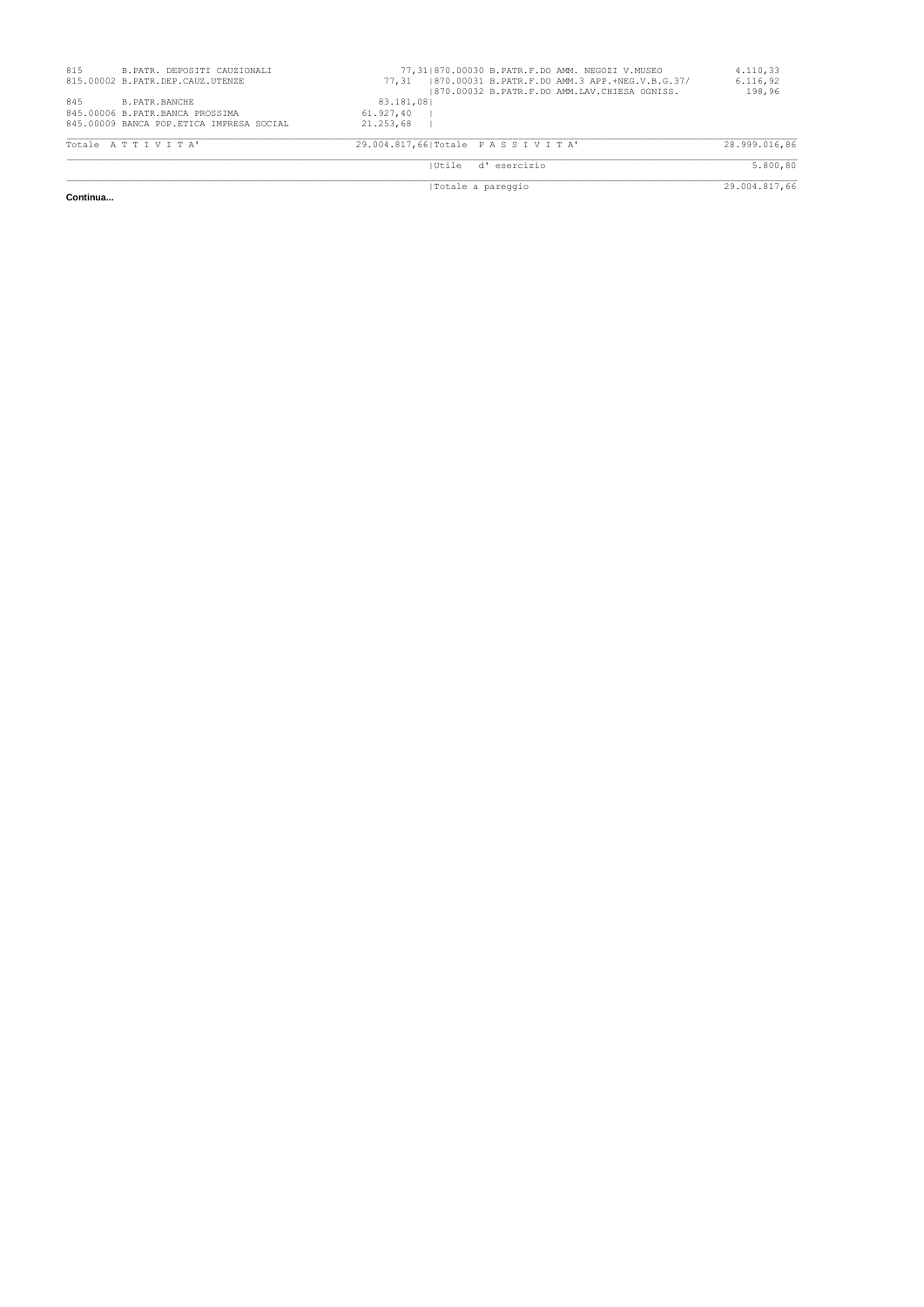| 29.004.817,66 Totale PASSIVITA' | 28.999.016,86                                                                                                                                                                                                                                                |
|---------------------------------|--------------------------------------------------------------------------------------------------------------------------------------------------------------------------------------------------------------------------------------------------------------|
|                                 |                                                                                                                                                                                                                                                              |
|                                 |                                                                                                                                                                                                                                                              |
|                                 |                                                                                                                                                                                                                                                              |
|                                 |                                                                                                                                                                                                                                                              |
|                                 | 5.800,80                                                                                                                                                                                                                                                     |
|                                 |                                                                                                                                                                                                                                                              |
|                                 |                                                                                                                                                                                                                                                              |
|                                 |                                                                                                                                                                                                                                                              |
|                                 | 29.004.817,66                                                                                                                                                                                                                                                |
|                                 | 77,31 870.00030 B.PATR.F.DO AMM. NEGOZI V.MUSEO<br>  870.00031 B.PATR.F.DO AMM.3 APP.+NEG.V.B.G.37/<br>77.31<br>1870.00032 B.PATR.F.DO AMM.LAV.CHIESA OGNISS.<br>83.181.081<br>61,927,40<br>21, 253, 68<br>d'esercizio<br><b>IUtile</b><br>Totale a pareggio |

**Continua...**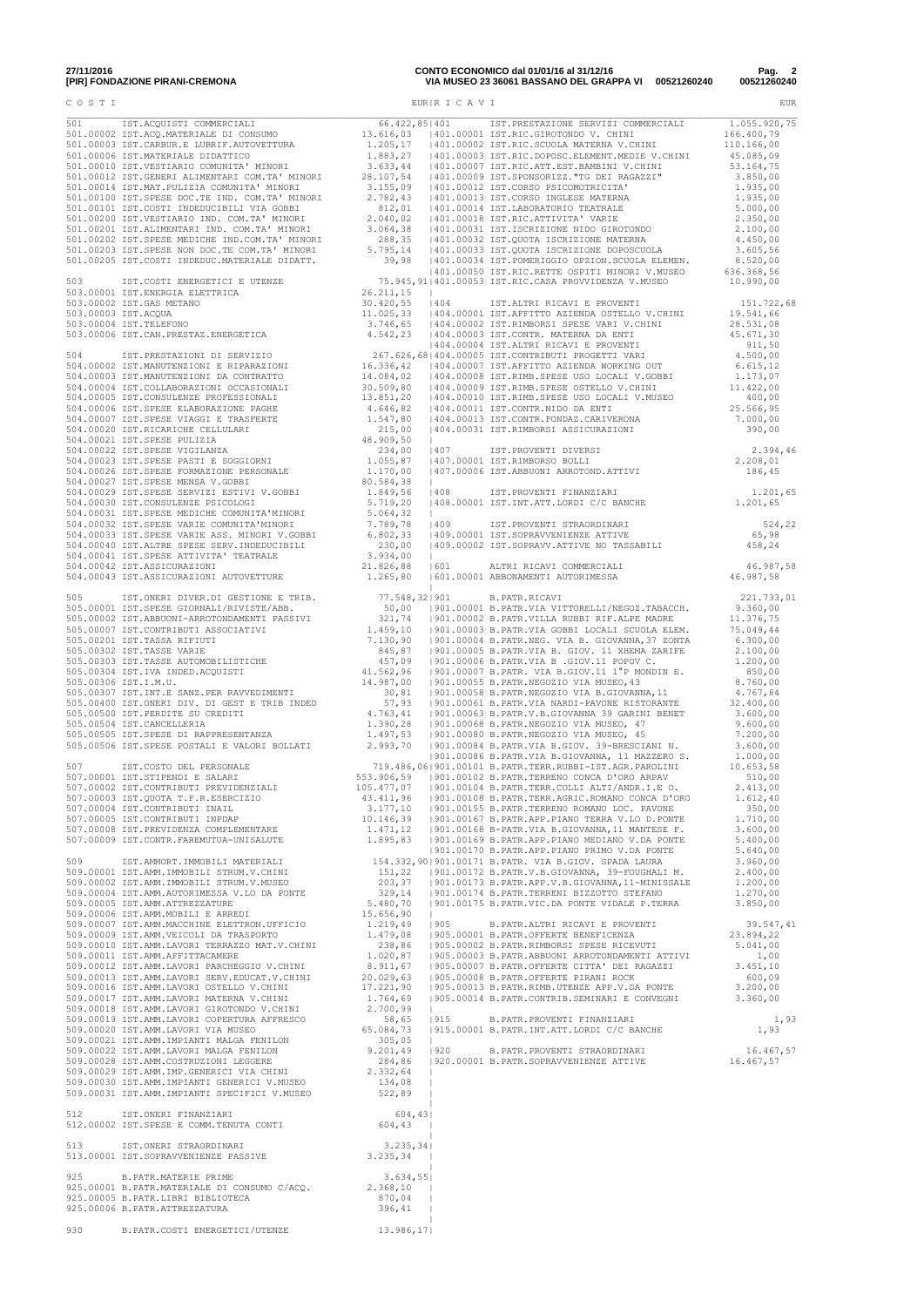| 27/11/2016                        |  |  |
|-----------------------------------|--|--|
| <b>IDIDI CONDAZIONE DIDANI CI</b> |  |  |

| 27/11/2016                      | CONTO ECONOMICO dal 01/01/16 al 31/12/16             | Pag.        |
|---------------------------------|------------------------------------------------------|-------------|
| [PIR] FONDAZIONE PIRANI-CREMONA | VIA MUSEO 23 36061 BASSANO DEL GRAPPA VI 00521260240 | 00521260240 |

| Pag.        | 2 |
|-------------|---|
| 00521260240 |   |

| COSTI |                                                                                                                                                                                                     |           |                   |                                                                                                                                                                                                                                      | <b>EUR</b>                     |
|-------|-----------------------------------------------------------------------------------------------------------------------------------------------------------------------------------------------------|-----------|-------------------|--------------------------------------------------------------------------------------------------------------------------------------------------------------------------------------------------------------------------------------|--------------------------------|
|       |                                                                                                                                                                                                     |           | EUR   R I C A V I |                                                                                                                                                                                                                                      |                                |
|       |                                                                                                                                                                                                     |           |                   |                                                                                                                                                                                                                                      |                                |
|       |                                                                                                                                                                                                     |           |                   |                                                                                                                                                                                                                                      |                                |
|       |                                                                                                                                                                                                     |           |                   | 307.00002 IST.CONTRIBUTI PREVIDENZIALI<br>507.00003 IST.QUOTR T.F.R.EXIENCITI (105.477,07  901.00104 B.PATR.TERR.COLLI ALTI/ANDR.I.E 0.<br>507.00003 IST.CONTRIBUTI INPIAFI<br>3.177,10  901.00105 B.PATR.TERR.AGRIC.ROMANO CONCA D' |                                |
|       | 512 1ST.ONERI FINANZIARI (604,43)<br>512.00002 IST.SPESE E COMM.TENUTA CONTI (604,43)                                                                                                               |           |                   | 3.680,70<br>1991.00015 STP. AMM. ARTERZZATURE PITTERNA 1.2002 ISPANIE 1.2004 SEPARA 1.2002175 BIPATR, VICUDA PONTE VIDALE PITERRA 3.850,00<br>1990.00001 IST. AMM. MACCHINE ELETTRON. UPFICITO 1.2219, 49<br>1990.00001 IST. AMM. AR | 39.547,41<br>1,93<br>16.467,57 |
|       | 1<br>13.235,34<br>13.00001 IST.SOPRAVVENIENZE PASSIVE 3.235,34                                                                                                                                      |           |                   |                                                                                                                                                                                                                                      |                                |
|       | 925 B.PATR.MATERIE PRIME<br>925.00001 B.PATR.MATERIALE DI CONSUMO C/ACQ. 2.3634,55 <br>925.00005 B.PATR.LIBRI BIBLIOTECA 22.368,10  <br>925.00006 B.PATR.ATTREZZATURA 925.00006 B.PATR.ATTREZZATURA |           |                   |                                                                                                                                                                                                                                      |                                |
| 930 — | B.PATR.COSTI ENERGETICI/UTENZE                                                                                                                                                                      | 13.986,17 |                   |                                                                                                                                                                                                                                      |                                |